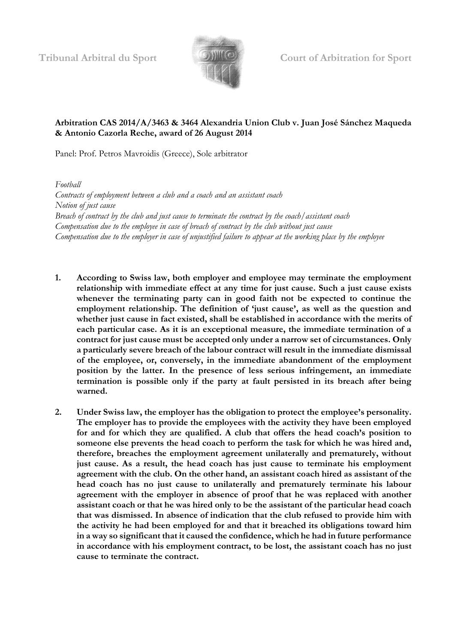

## **Arbitration CAS 2014/A/3463 & 3464 Alexandria Union Club v. Juan José Sánchez Maqueda & Antonio Cazorla Reche, award of 26 August 2014**

Panel: Prof. Petros Mavroidis (Greece), Sole arbitrator

*Football Contracts of employment between a club and a coach and an assistant coach Notion of just cause Breach of contract by the club and just cause to terminate the contract by the coach/assistant coach Compensation due to the employee in case of breach of contract by the club without just cause Compensation due to the employer in case of unjustified failure to appear at the working place by the employee*

- **1. According to Swiss law, both employer and employee may terminate the employment relationship with immediate effect at any time for just cause. Such a just cause exists whenever the terminating party can in good faith not be expected to continue the employment relationship. The definition of 'just cause', as well as the question and whether just cause in fact existed, shall be established in accordance with the merits of each particular case. As it is an exceptional measure, the immediate termination of a contract for just cause must be accepted only under a narrow set of circumstances. Only a particularly severe breach of the labour contract will result in the immediate dismissal of the employee, or, conversely, in the immediate abandonment of the employment position by the latter. In the presence of less serious infringement, an immediate termination is possible only if the party at fault persisted in its breach after being warned.**
- **2. Under Swiss law, the employer has the obligation to protect the employee's personality. The employer has to provide the employees with the activity they have been employed for and for which they are qualified. A club that offers the head coach's position to someone else prevents the head coach to perform the task for which he was hired and, therefore, breaches the employment agreement unilaterally and prematurely, without just cause. As a result, the head coach has just cause to terminate his employment agreement with the club. On the other hand, an assistant coach hired as assistant of the head coach has no just cause to unilaterally and prematurely terminate his labour agreement with the employer in absence of proof that he was replaced with another assistant coach or that he was hired only to be the assistant of the particular head coach that was dismissed. In absence of indication that the club refused to provide him with the activity he had been employed for and that it breached its obligations toward him in a way so significant that it caused the confidence, which he had in future performance in accordance with his employment contract, to be lost, the assistant coach has no just cause to terminate the contract.**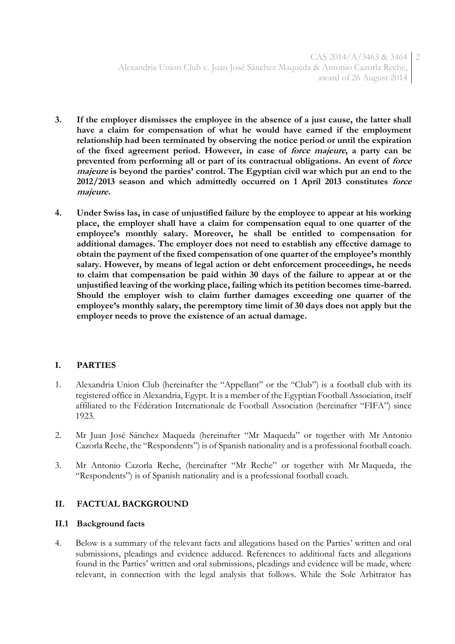- **3. If the employer dismisses the employee in the absence of a just cause, the latter shall have a claim for compensation of what he would have earned if the employment relationship had been terminated by observing the notice period or until the expiration of the fixed agreement period. However, in case of force majeure, a party can be prevented from performing all or part of its contractual obligations. An event of force majeure is beyond the parties' control. The Egyptian civil war which put an end to the 2012/2013 season and which admittedly occurred on 1 April 2013 constitutes force majeure.**
- **4. Under Swiss las, in case of unjustified failure by the employee to appear at his working place, the employer shall have a claim for compensation equal to one quarter of the employee's monthly salary. Moreover, he shall be entitled to compensation for additional damages. The employer does not need to establish any effective damage to obtain the payment of the fixed compensation of one quarter of the employee's monthly salary. However, by means of legal action or debt enforcement proceedings, he needs to claim that compensation be paid within 30 days of the failure to appear at or the unjustified leaving of the working place, failing which its petition becomes time-barred. Should the employer wish to claim further damages exceeding one quarter of the employee's monthly salary, the peremptory time limit of 30 days does not apply but the employer needs to prove the existence of an actual damage.**

## **I. PARTIES**

- 1. Alexandria Union Club (hereinafter the "Appellant" or the "Club") is a football club with its registered office in Alexandria, Egypt. It is a member of the Egyptian Football Association, itself affiliated to the Fédération Internationale de Football Association (hereinafter "FIFA") since 1923.
- 2. Mr Juan José Sánchez Maqueda (hereinafter "Mr Maqueda" or together with Mr Antonio Cazorla Reche, the "Respondents") is of Spanish nationality and is a professional football coach.
- 3. Mr Antonio Cazorla Reche, (hereinafter "Mr Reche" or together with Mr Maqueda, the "Respondents") is of Spanish nationality and is a professional football coach.

## **II. FACTUAL BACKGROUND**

## **II.1 Background facts**

4. Below is a summary of the relevant facts and allegations based on the Parties' written and oral submissions, pleadings and evidence adduced. References to additional facts and allegations found in the Parties' written and oral submissions, pleadings and evidence will be made, where relevant, in connection with the legal analysis that follows. While the Sole Arbitrator has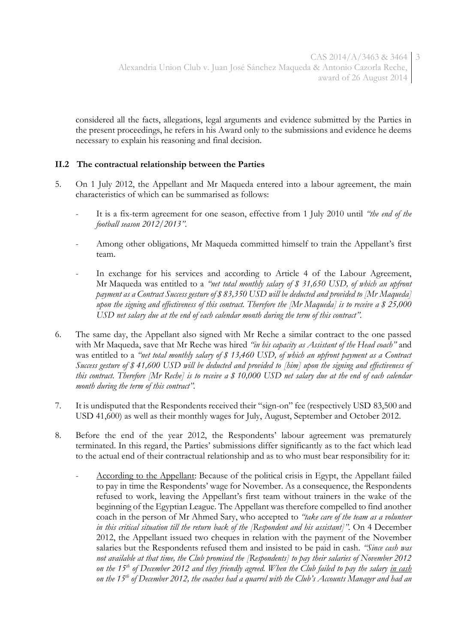considered all the facts, allegations, legal arguments and evidence submitted by the Parties in the present proceedings, he refers in his Award only to the submissions and evidence he deems necessary to explain his reasoning and final decision.

## **II.2 The contractual relationship between the Parties**

- 5. On 1 July 2012, the Appellant and Mr Maqueda entered into a labour agreement, the main characteristics of which can be summarised as follows:
	- It is a fix-term agreement for one season, effective from 1 July 2010 until *"the end of the football season 2012/2013"*.
	- Among other obligations, Mr Maqueda committed himself to train the Appellant's first team.
	- In exchange for his services and according to Article 4 of the Labour Agreement, Mr Maqueda was entitled to a *"net total monthly salary of \$ 31,650 USD, of which an upfront payment as a Contract Success gesture of \$ 83,350 USD will be deducted and provided to [Mr Maqueda] upon the signing and effectiveness of this contract. Therefore the [Mr Maqueda] is to receive a \$ 25,000 USD net salary due at the end of each calendar month during the term of this contract".*
- 6. The same day, the Appellant also signed with Mr Reche a similar contract to the one passed with Mr Maqueda, save that Mr Reche was hired *"in his capacity as Assistant of the Head coach"* and was entitled to a *"net total monthly salary of \$ 13,460 USD, of which an upfront payment as a Contract Success gesture of \$ 41,600 USD will be deducted and provided to [him] upon the signing and effectiveness of this contract. Therefore [Mr Reche] is to receive a \$ 10,000 USD net salary due at the end of each calendar month during the term of this contract".*
- 7. It is undisputed that the Respondents received their "sign-on" fee (respectively USD 83,500 and USD 41,600) as well as their monthly wages for July, August, September and October 2012.
- 8. Before the end of the year 2012, the Respondents' labour agreement was prematurely terminated. In this regard, the Parties' submissions differ significantly as to the fact which lead to the actual end of their contractual relationship and as to who must bear responsibility for it:
	- According to the Appellant: Because of the political crisis in Egypt, the Appellant failed to pay in time the Respondents' wage for November. As a consequence, the Respondents refused to work, leaving the Appellant's first team without trainers in the wake of the beginning of the Egyptian League. The Appellant was therefore compelled to find another coach in the person of Mr Ahmed Sary, who accepted to *"take care of the team as a volunteer in this critical situation till the return back of the [Respondent and his assistant]".* On 4 December 2012, the Appellant issued two cheques in relation with the payment of the November salaries but the Respondents refused them and insisted to be paid in cash*. "Since cash was not available at that time, the Club promised the [Respondents] to pay their salaries of November 2012 on the 15th of December 2012 and they friendly agreed. When the Club failed to pay the salary in cash on the 15th of December 2012, the coaches had a quarrel with the Club's Accounts Manager and had an*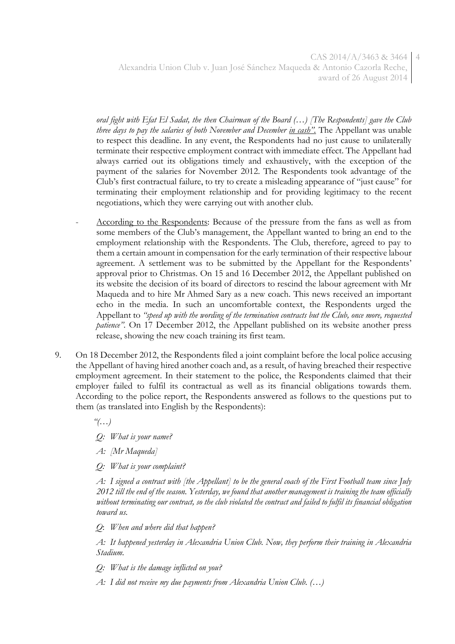CAS 2014/A/3463 & 3464 4 Alexandria Union Club v. Juan José Sánchez Maqueda & Antonio Cazorla Reche, award of 26 August 2014

*oral fight with Efat El Sadat, the then Chairman of the Board (…) [The Respondents] gave the Club three days to pay the salaries of both November and December in cash".* The Appellant was unable to respect this deadline. In any event, the Respondents had no just cause to unilaterally terminate their respective employment contract with immediate effect. The Appellant had always carried out its obligations timely and exhaustively, with the exception of the payment of the salaries for November 2012. The Respondents took advantage of the Club's first contractual failure, to try to create a misleading appearance of "just cause" for terminating their employment relationship and for providing legitimacy to the recent negotiations, which they were carrying out with another club.

- According to the Respondents: Because of the pressure from the fans as well as from some members of the Club's management, the Appellant wanted to bring an end to the employment relationship with the Respondents. The Club, therefore, agreed to pay to them a certain amount in compensation for the early termination of their respective labour agreement. A settlement was to be submitted by the Appellant for the Respondents' approval prior to Christmas. On 15 and 16 December 2012, the Appellant published on its website the decision of its board of directors to rescind the labour agreement with Mr Maqueda and to hire Mr Ahmed Sary as a new coach. This news received an important echo in the media. In such an uncomfortable context, the Respondents urged the Appellant to *"speed up with the wording of the termination contracts but the Club, once more, requested patience".* On 17 December 2012, the Appellant published on its website another press release, showing the new coach training its first team.
- 9. On 18 December 2012, the Respondents filed a joint complaint before the local police accusing the Appellant of having hired another coach and, as a result, of having breached their respective employment agreement. In their statement to the police, the Respondents claimed that their employer failed to fulfil its contractual as well as its financial obligations towards them. According to the police report, the Respondents answered as follows to the questions put to them (as translated into English by the Respondents):

*"(…)*

*Q: What is your name?*

*A: [Mr Maqueda]*

*Q: What is your complaint?*

*A: I signed a contract with [the Appellant] to be the general coach of the First Football team since July 2012 till the end of the season. Yesterday, we found that another management is training the team officially without terminating our contract, so the club violated the contract and failed to fulfil its financial obligation toward us.* 

*Q*: *When and where did that happen?*

*A: It happened yesterday in Alexandria Union Club. Now, they perform their training in Alexandria Stadium.* 

*Q: What is the damage inflicted on you?*

*A: I did not receive my due payments from Alexandria Union Club. (…)*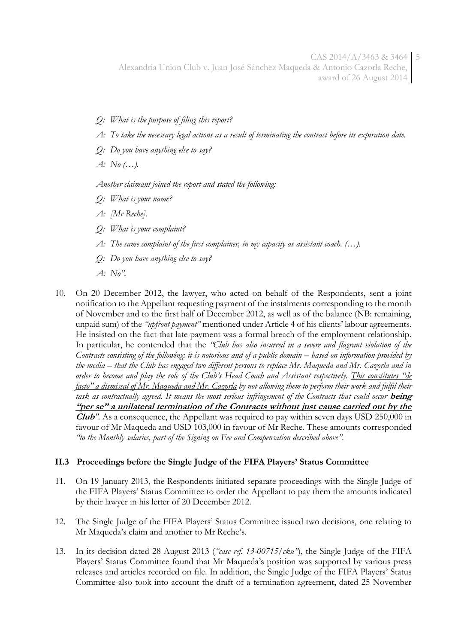CAS 2014/A/3463 & 3464 5 Alexandria Union Club v. Juan José Sánchez Maqueda & Antonio Cazorla Reche, award of 26 August 2014

- *Q: What is the purpose of filing this report?*
- *A: To take the necessary legal actions as a result of terminating the contract before its expiration date.*
- *Q: Do you have anything else to say?*
- *A: No (…).*

*Another claimant joined the report and stated the following:*

- *Q: What is your name?*
- *A: [Mr Reche].*
- *Q: What is your complaint?*
- *A: The same complaint of the first complainer, in my capacity as assistant coach. (…).*
- *Q: Do you have anything else to say?*
- *A: No".*
- 10. On 20 December 2012, the lawyer, who acted on behalf of the Respondents, sent a joint notification to the Appellant requesting payment of the instalments corresponding to the month of November and to the first half of December 2012, as well as of the balance (NB: remaining, unpaid sum) of the *"upfront payment"* mentioned under Article 4 of his clients' labour agreements. He insisted on the fact that late payment was a formal breach of the employment relationship. In particular, he contended that the *"Club has also incurred in a severe and flagrant violation of the Contracts consisting of the following: it is notorious and of a public domain – based on information provided by the media – that the Club has engaged two different persons to replace Mr. Maqueda and Mr. Cazorla and in order to become and play the role of the Club's Head Coach and Assistant respectively. This constitutes "de facto" a dismissal of Mr. Maqueda and Mr. Cazorla by not allowing them to perform their work and fulfil their task as contractually agreed. It means the most serious infringement of the Contracts that could occur being* **"per se" a unilateral termination of the Contracts without just cause carried out by the Club***".* As a consequence, the Appellant was required to pay within seven days USD 250,000 in favour of Mr Maqueda and USD 103,000 in favour of Mr Reche. These amounts corresponded *"to the Monthly salaries, part of the Signing on Fee and Compensation described above".*

#### **II.3 Proceedings before the Single Judge of the FIFA Players' Status Committee**

- 11. On 19 January 2013, the Respondents initiated separate proceedings with the Single Judge of the FIFA Players' Status Committee to order the Appellant to pay them the amounts indicated by their lawyer in his letter of 20 December 2012.
- 12. The Single Judge of the FIFA Players' Status Committee issued two decisions, one relating to Mr Maqueda's claim and another to Mr Reche's.
- 13. In its decision dated 28 August 2013 (*"case ref. 13-00715/cku"*), the Single Judge of the FIFA Players' Status Committee found that Mr Maqueda's position was supported by various press releases and articles recorded on file. In addition, the Single Judge of the FIFA Players' Status Committee also took into account the draft of a termination agreement, dated 25 November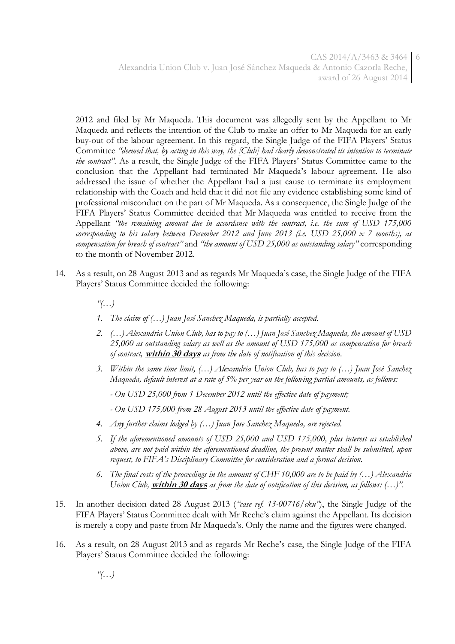2012 and filed by Mr Maqueda. This document was allegedly sent by the Appellant to Mr Maqueda and reflects the intention of the Club to make an offer to Mr Maqueda for an early buy-out of the labour agreement. In this regard, the Single Judge of the FIFA Players' Status Committee *"deemed that, by acting in this way, the [Club] had clearly demonstrated its intention to terminate the contract".* As a result, the Single Judge of the FIFA Players' Status Committee came to the conclusion that the Appellant had terminated Mr Maqueda's labour agreement. He also addressed the issue of whether the Appellant had a just cause to terminate its employment relationship with the Coach and held that it did not file any evidence establishing some kind of professional misconduct on the part of Mr Maqueda. As a consequence, the Single Judge of the FIFA Players' Status Committee decided that Mr Maqueda was entitled to receive from the Appellant *"the remaining amount due in accordance with the contract, i.e. the sum of USD 175,000 corresponding to his salary between December 2012 and June 2013 (i.e. USD 25,000 x 7 months), as compensation for breach of contract"* and *"the amount of USD 25,000 as outstanding salary"* corresponding to the month of November 2012.

- 14. As a result, on 28 August 2013 and as regards Mr Maqueda's case, the Single Judge of the FIFA Players' Status Committee decided the following:
	- *"(…)*
	- *1. The claim of (…) Juan José Sanchez Maqueda, is partially accepted.*
	- *2. (…) Alexandria Union Club, has to pay to (…) Juan José Sanchez Maqueda, the amount of USD 25,000 as outstanding salary as well as the amount of USD 175,000 as compensation for breach of contract,* **within 30 days** *as from the date of notification of this decision.*
	- *3. Within the same time limit, (…) Alexandria Union Club, has to pay to (…) Juan José Sanchez Maqueda, default interest at a rate of 5% per year on the following partial amounts, as follows:*
		- *- On USD 25,000 from 1 December 2012 until the effective date of payment;*
		- *- On USD 175,000 from 28 August 2013 until the effective date of payment.*
	- *4. Any further claims lodged by (…) Juan Jose Sanchez Maqueda, are rejected.*
	- *5. If the aforementioned amounts of USD 25,000 and USD 175,000, plus interest as established above, are not paid within the aforementioned deadline, the present matter shall be submitted, upon request, to FIFA's Disciplinary Committee for consideration and a formal decision.*
	- *6. The final costs of the proceedings in the amount of CHF 10,000 are to be paid by (…) Alexandria Union Club,* **within 30 days** *as from the date of notification of this decision, as follows: (…)".*
- 15. In another decision dated 28 August 2013 (*"case ref. 13-00716/cku"*), the Single Judge of the FIFA Players' Status Committee dealt with Mr Reche's claim against the Appellant. Its decision is merely a copy and paste from Mr Maqueda's. Only the name and the figures were changed.
- 16. As a result, on 28 August 2013 and as regards Mr Reche's case, the Single Judge of the FIFA Players' Status Committee decided the following:

*"(…)*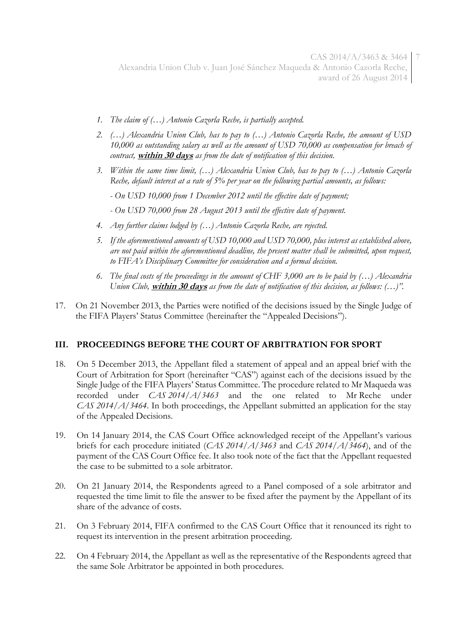CAS 2014/A/3463 & 3464 7 Alexandria Union Club v. Juan José Sánchez Maqueda & Antonio Cazorla Reche, award of 26 August 2014

- *1. The claim of (…) Antonio Cazorla Reche, is partially accepted.*
- *2. (…) Alexandria Union Club, has to pay to (…) Antonio Cazorla Reche, the amount of USD 10,000 as outstanding salary as well as the amount of USD 70,000 as compensation for breach of contract,* **within 30 days** *as from the date of notification of this decision.*
- *3. Within the same time limit, (…) Alexandria Union Club, has to pay to (…) Antonio Cazorla Reche, default interest at a rate of 5% per year on the following partial amounts, as follows:*
	- *- On USD 10,000 from 1 December 2012 until the effective date of payment;*
	- *- On USD 70,000 from 28 August 2013 until the effective date of payment.*
- *4. Any further claims lodged by (…) Antonio Cazorla Reche, are rejected.*
- *5. If the aforementioned amounts of USD 10,000 and USD 70,000, plus interest as established above, are not paid within the aforementioned deadline, the present matter shall be submitted, upon request, to FIFA's Disciplinary Committee for consideration and a formal decision.*
- *6. The final costs of the proceedings in the amount of CHF 3,000 are to be paid by (…) Alexandria Union Club,* **within 30 days** *as from the date of notification of this decision, as follows: (…)".*
- 17. On 21 November 2013, the Parties were notified of the decisions issued by the Single Judge of the FIFA Players' Status Committee (hereinafter the "Appealed Decisions").

#### **III. PROCEEDINGS BEFORE THE COURT OF ARBITRATION FOR SPORT**

- 18. On 5 December 2013, the Appellant filed a statement of appeal and an appeal brief with the Court of Arbitration for Sport (hereinafter "CAS") against each of the decisions issued by the Single Judge of the FIFA Players' Status Committee. The procedure related to Mr Maqueda was recorded under *CAS 2014/A/3463* and the one related to Mr Reche under *CAS 2014/A/3464*. In both proceedings, the Appellant submitted an application for the stay of the Appealed Decisions.
- 19. On 14 January 2014, the CAS Court Office acknowledged receipt of the Appellant's various briefs for each procedure initiated (*CAS 2014/A/3463* and *CAS 2014/A/3464*), and of the payment of the CAS Court Office fee. It also took note of the fact that the Appellant requested the case to be submitted to a sole arbitrator.
- 20. On 21 January 2014, the Respondents agreed to a Panel composed of a sole arbitrator and requested the time limit to file the answer to be fixed after the payment by the Appellant of its share of the advance of costs.
- 21. On 3 February 2014, FIFA confirmed to the CAS Court Office that it renounced its right to request its intervention in the present arbitration proceeding.
- 22. On 4 February 2014, the Appellant as well as the representative of the Respondents agreed that the same Sole Arbitrator be appointed in both procedures.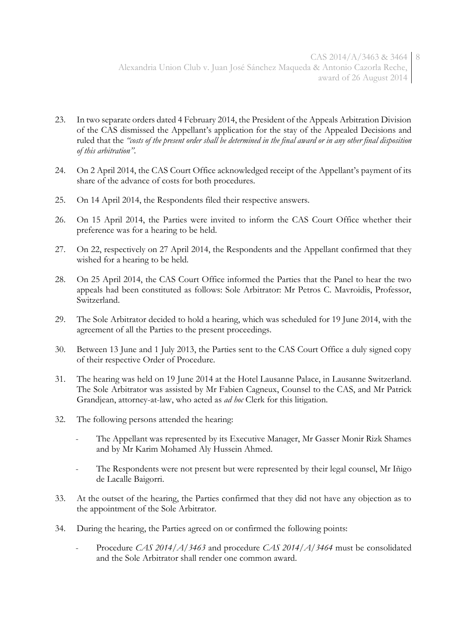- 23. In two separate orders dated 4 February 2014, the President of the Appeals Arbitration Division of the CAS dismissed the Appellant's application for the stay of the Appealed Decisions and ruled that the *"costs of the present order shall be determined in the final award or in any other final disposition of this arbitration"*.
- 24. On 2 April 2014, the CAS Court Office acknowledged receipt of the Appellant's payment of its share of the advance of costs for both procedures.
- 25. On 14 April 2014, the Respondents filed their respective answers.
- 26. On 15 April 2014, the Parties were invited to inform the CAS Court Office whether their preference was for a hearing to be held.
- 27. On 22, respectively on 27 April 2014, the Respondents and the Appellant confirmed that they wished for a hearing to be held.
- 28. On 25 April 2014, the CAS Court Office informed the Parties that the Panel to hear the two appeals had been constituted as follows: Sole Arbitrator: Mr Petros C. Mavroidis, Professor, Switzerland.
- 29. The Sole Arbitrator decided to hold a hearing, which was scheduled for 19 June 2014, with the agreement of all the Parties to the present proceedings.
- 30. Between 13 June and 1 July 2013, the Parties sent to the CAS Court Office a duly signed copy of their respective Order of Procedure.
- 31. The hearing was held on 19 June 2014 at the Hotel Lausanne Palace, in Lausanne Switzerland. The Sole Arbitrator was assisted by Mr Fabien Cagneux, Counsel to the CAS, and Mr Patrick Grandjean, attorney-at-law, who acted as *ad hoc* Clerk for this litigation.
- 32. The following persons attended the hearing:
	- The Appellant was represented by its Executive Manager, Mr Gasser Monir Rizk Shames and by Mr Karim Mohamed Aly Hussein Ahmed.
	- The Respondents were not present but were represented by their legal counsel, Mr Iñigo de Lacalle Baigorri.
- 33. At the outset of the hearing, the Parties confirmed that they did not have any objection as to the appointment of the Sole Arbitrator.
- 34. During the hearing, the Parties agreed on or confirmed the following points:
	- Procedure *CAS 2014/A/3463* and procedure *CAS 2014/A/3464* must be consolidated and the Sole Arbitrator shall render one common award.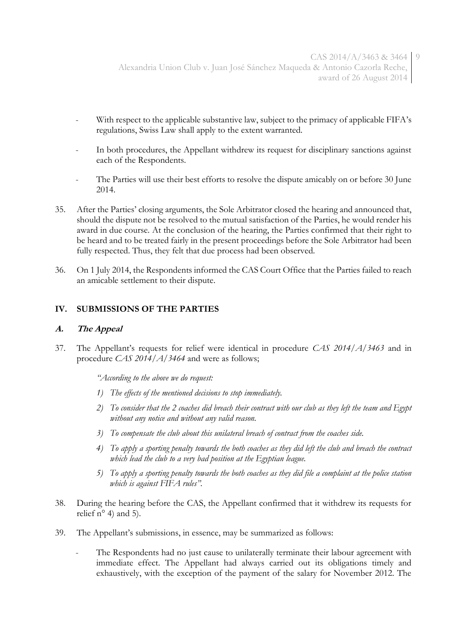- With respect to the applicable substantive law, subject to the primacy of applicable FIFA's regulations, Swiss Law shall apply to the extent warranted.
- In both procedures, the Appellant withdrew its request for disciplinary sanctions against each of the Respondents.
- The Parties will use their best efforts to resolve the dispute amicably on or before 30 June 2014.
- 35. After the Parties' closing arguments, the Sole Arbitrator closed the hearing and announced that, should the dispute not be resolved to the mutual satisfaction of the Parties, he would render his award in due course. At the conclusion of the hearing, the Parties confirmed that their right to be heard and to be treated fairly in the present proceedings before the Sole Arbitrator had been fully respected. Thus, they felt that due process had been observed.
- 36. On 1 July 2014, the Respondents informed the CAS Court Office that the Parties failed to reach an amicable settlement to their dispute.

## **IV. SUBMISSIONS OF THE PARTIES**

#### **A. The Appeal**

37. The Appellant's requests for relief were identical in procedure *CAS 2014/A/3463* and in procedure *CAS 2014/A/3464* and were as follows;

*"According to the above we do request:*

- *1) The effects of the mentioned decisions to stop immediately.*
- *2) To consider that the 2 coaches did breach their contract with our club as they left the team and Egypt without any notice and without any valid reason.*
- *3) To compensate the club about this unilateral breach of contract from the coaches side.*
- *4) To apply a sporting penalty towards the both coaches as they did left the club and breach the contract which lead the club to a very bad position at the Egyptian league.*
- *5) To apply a sporting penalty towards the both coaches as they did file a complaint at the police station which is against FIFA rules".*
- 38. During the hearing before the CAS, the Appellant confirmed that it withdrew its requests for relief  $n^{\circ}$  4) and 5).
- 39. The Appellant's submissions, in essence, may be summarized as follows:
	- The Respondents had no just cause to unilaterally terminate their labour agreement with immediate effect. The Appellant had always carried out its obligations timely and exhaustively, with the exception of the payment of the salary for November 2012. The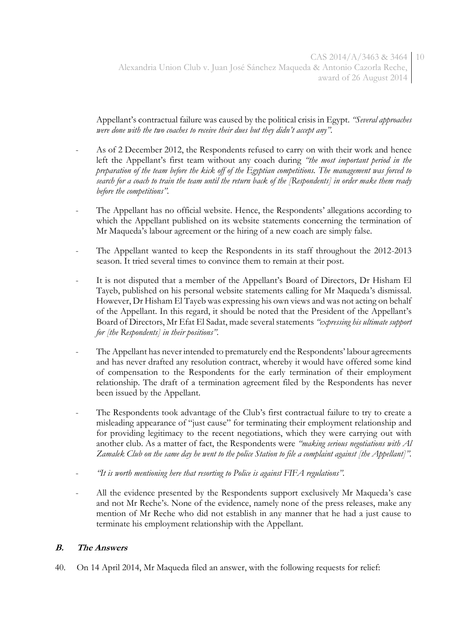Appellant's contractual failure was caused by the political crisis in Egypt. *"Several approaches were done with the two coaches to receive their dues but they didn't accept any".*

- As of 2 December 2012, the Respondents refused to carry on with their work and hence left the Appellant's first team without any coach during *"the most important period in the preparation of the team before the kick off of the Egyptian competitions. The management was forced to search for a coach to train the team until the return back of the [Respondents] in order make them ready before the competitions".*
- The Appellant has no official website. Hence, the Respondents' allegations according to which the Appellant published on its website statements concerning the termination of Mr Maqueda's labour agreement or the hiring of a new coach are simply false.
- The Appellant wanted to keep the Respondents in its staff throughout the 2012-2013 season. It tried several times to convince them to remain at their post.
- It is not disputed that a member of the Appellant's Board of Directors, Dr Hisham El Tayeb, published on his personal website statements calling for Mr Maqueda's dismissal. However, Dr Hisham El Tayeb was expressing his own views and was not acting on behalf of the Appellant. In this regard, it should be noted that the President of the Appellant's Board of Directors, Mr Efat El Sadat, made several statements *"expressing his ultimate support for [the Respondents] in their positions".*
- The Appellant has never intended to prematurely end the Respondents' labour agreements and has never drafted any resolution contract, whereby it would have offered some kind of compensation to the Respondents for the early termination of their employment relationship. The draft of a termination agreement filed by the Respondents has never been issued by the Appellant.
- The Respondents took advantage of the Club's first contractual failure to try to create a misleading appearance of "just cause" for terminating their employment relationship and for providing legitimacy to the recent negotiations, which they were carrying out with another club. As a matter of fact, the Respondents were *"making serious negotiations with Al Zamalek Club on the same day he went to the police Station to file a complaint against [the Appellant]".*
- *"It is worth mentioning here that resorting to Police is against FIFA regulations".*
- All the evidence presented by the Respondents support exclusively Mr Maqueda's case and not Mr Reche's. None of the evidence, namely none of the press releases, make any mention of Mr Reche who did not establish in any manner that he had a just cause to terminate his employment relationship with the Appellant.

## **B. The Answers**

40. On 14 April 2014, Mr Maqueda filed an answer, with the following requests for relief: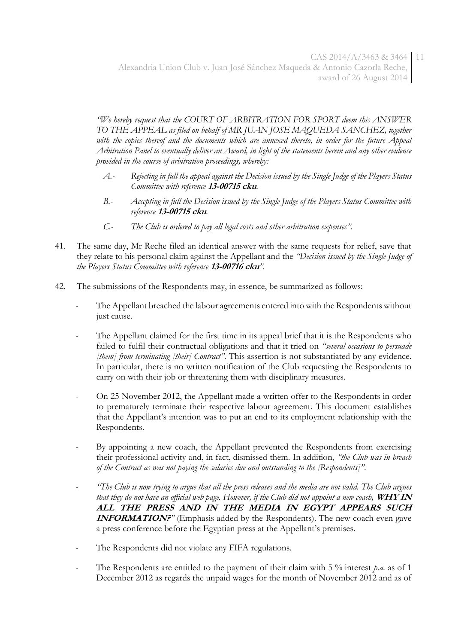*"We hereby request that the COURT OF ARBITRATION FOR SPORT deem this ANSWER*  TO THE APPEAL as filed on behalf of MR JUAN JOSE MAQUEDA SANCHEZ, together with the copies thereof and the documents which are annexed thereto, in order for the future Appeal *Arbitration Panel to eventually deliver an Award, in light of the statements herein and any other evidence provided in the course of arbitration proceedings, whereby:*

- *A.- Rejecting in full the appeal against the Decision issued by the Single Judge of the Players Status Committee with reference* **13-00715 cku***.*
- *B.- Accepting in full the Decision issued by the Single Judge of the Players Status Committee with reference* **13-00715 cku***.*
- *C.- The Club is ordered to pay all legal costs and other arbitration expenses".*
- 41. The same day, Mr Reche filed an identical answer with the same requests for relief, save that they relate to his personal claim against the Appellant and the *"Decision issued by the Single Judge of the Players Status Committee with reference* **13-00716 cku***".*
- 42. The submissions of the Respondents may, in essence, be summarized as follows:
	- The Appellant breached the labour agreements entered into with the Respondents without just cause.
	- The Appellant claimed for the first time in its appeal brief that it is the Respondents who failed to fulfil their contractual obligations and that it tried on *"several occasions to persuade [them] from terminating [their] Contract".* This assertion is not substantiated by any evidence. In particular, there is no written notification of the Club requesting the Respondents to carry on with their job or threatening them with disciplinary measures.
	- On 25 November 2012, the Appellant made a written offer to the Respondents in order to prematurely terminate their respective labour agreement. This document establishes that the Appellant's intention was to put an end to its employment relationship with the Respondents.
	- By appointing a new coach, the Appellant prevented the Respondents from exercising their professional activity and, in fact, dismissed them. In addition, *"the Club was in breach of the Contract as was not paying the salaries due and outstanding to the [Respondents]"*.
	- *"The Club is now trying to argue that all the press releases and the media are not valid. The Club argues that they do not have an official web page. However, if the Club did not appoint a new coach,* **WHY IN ALL THE PRESS AND IN THE MEDIA IN EGYPT APPEARS SUCH INFORMATION?**<sup>*"*</sup> (Emphasis added by the Respondents). The new coach even gave a press conference before the Egyptian press at the Appellant's premises.
	- The Respondents did not violate any FIFA regulations.
	- The Respondents are entitled to the payment of their claim with 5 % interest p.a. as of 1 December 2012 as regards the unpaid wages for the month of November 2012 and as of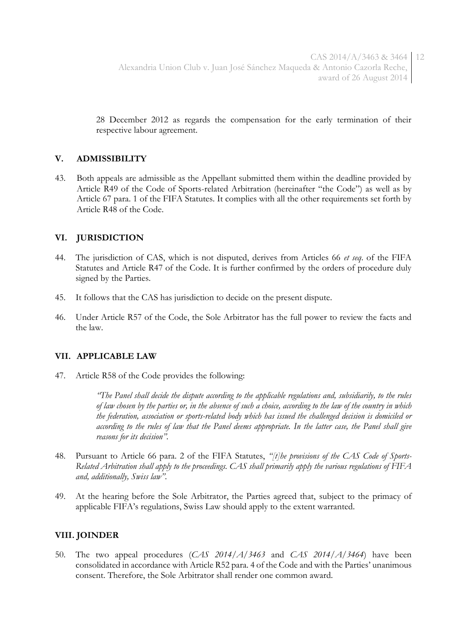28 December 2012 as regards the compensation for the early termination of their respective labour agreement.

## **V. ADMISSIBILITY**

43. Both appeals are admissible as the Appellant submitted them within the deadline provided by Article R49 of the Code of Sports-related Arbitration (hereinafter "the Code") as well as by Article 67 para. 1 of the FIFA Statutes. It complies with all the other requirements set forth by Article R48 of the Code.

## **VI. JURISDICTION**

- 44. The jurisdiction of CAS, which is not disputed, derives from Articles 66 *et seq*. of the FIFA Statutes and Article R47 of the Code. It is further confirmed by the orders of procedure duly signed by the Parties.
- 45. It follows that the CAS has jurisdiction to decide on the present dispute.
- 46. Under Article R57 of the Code, the Sole Arbitrator has the full power to review the facts and the law.

#### **VII. APPLICABLE LAW**

47. Article R58 of the Code provides the following:

*"The Panel shall decide the dispute according to the applicable regulations and, subsidiarily, to the rules of law chosen by the parties or, in the absence of such a choice, according to the law of the country in which the federation, association or sports-related body which has issued the challenged decision is domiciled or according to the rules of law that the Panel deems appropriate. In the latter case, the Panel shall give reasons for its decision".*

- 48. Pursuant to Article 66 para. 2 of the FIFA Statutes, *"[t]he provisions of the CAS Code of Sports-Related Arbitration shall apply to the proceedings. CAS shall primarily apply the various regulations of FIFA and, additionally, Swiss law"*.
- 49. At the hearing before the Sole Arbitrator, the Parties agreed that, subject to the primacy of applicable FIFA's regulations, Swiss Law should apply to the extent warranted.

#### **VIII. JOINDER**

50. The two appeal procedures (*CAS 2014/A/3463* and *CAS 2014/A/3464*) have been consolidated in accordance with Article R52 para. 4 of the Code and with the Parties' unanimous consent. Therefore, the Sole Arbitrator shall render one common award.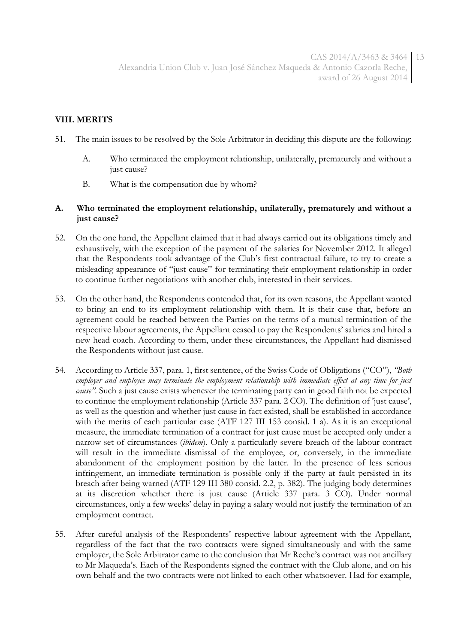## **VIII. MERITS**

- 51. The main issues to be resolved by the Sole Arbitrator in deciding this dispute are the following:
	- A. Who terminated the employment relationship, unilaterally, prematurely and without a just cause?
	- B. What is the compensation due by whom?

#### **A. Who terminated the employment relationship, unilaterally, prematurely and without a just cause?**

- 52. On the one hand, the Appellant claimed that it had always carried out its obligations timely and exhaustively, with the exception of the payment of the salaries for November 2012. It alleged that the Respondents took advantage of the Club's first contractual failure, to try to create a misleading appearance of "just cause" for terminating their employment relationship in order to continue further negotiations with another club, interested in their services.
- 53. On the other hand, the Respondents contended that, for its own reasons, the Appellant wanted to bring an end to its employment relationship with them. It is their case that, before an agreement could be reached between the Parties on the terms of a mutual termination of the respective labour agreements, the Appellant ceased to pay the Respondents' salaries and hired a new head coach. According to them, under these circumstances, the Appellant had dismissed the Respondents without just cause.
- 54. According to Article 337, para. 1, first sentence, of the Swiss Code of Obligations ("CO"), *"Both employer and employee may terminate the employment relationship with immediate effect at any time for just cause".* Such a just cause exists whenever the terminating party can in good faith not be expected to continue the employment relationship (Article 337 para. 2 CO). The definition of 'just cause', as well as the question and whether just cause in fact existed, shall be established in accordance with the merits of each particular case (ATF 127 III 153 consid. 1 a). As it is an exceptional measure, the immediate termination of a contract for just cause must be accepted only under a narrow set of circumstances (*ibidem*). Only a particularly severe breach of the labour contract will result in the immediate dismissal of the employee, or, conversely, in the immediate abandonment of the employment position by the latter. In the presence of less serious infringement, an immediate termination is possible only if the party at fault persisted in its breach after being warned (ATF 129 III 380 consid. 2.2, p. 382). The judging body determines at its discretion whether there is just cause (Article 337 para. 3 CO). Under normal circumstances, only a few weeks' delay in paying a salary would not justify the termination of an employment contract.
- 55. After careful analysis of the Respondents' respective labour agreement with the Appellant, regardless of the fact that the two contracts were signed simultaneously and with the same employer, the Sole Arbitrator came to the conclusion that Mr Reche's contract was not ancillary to Mr Maqueda's. Each of the Respondents signed the contract with the Club alone, and on his own behalf and the two contracts were not linked to each other whatsoever. Had for example,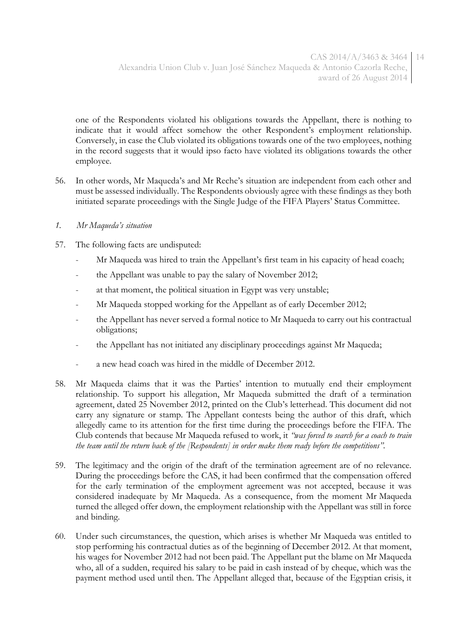one of the Respondents violated his obligations towards the Appellant, there is nothing to indicate that it would affect somehow the other Respondent's employment relationship. Conversely, in case the Club violated its obligations towards one of the two employees, nothing in the record suggests that it would ipso facto have violated its obligations towards the other employee.

- 56. In other words, Mr Maqueda's and Mr Reche's situation are independent from each other and must be assessed individually. The Respondents obviously agree with these findings as they both initiated separate proceedings with the Single Judge of the FIFA Players' Status Committee.
- *1. Mr Maqueda's situation*
- 57. The following facts are undisputed:
	- Mr Maqueda was hired to train the Appellant's first team in his capacity of head coach;
	- the Appellant was unable to pay the salary of November 2012;
	- at that moment, the political situation in Egypt was very unstable;
	- Mr Maqueda stopped working for the Appellant as of early December 2012;
	- the Appellant has never served a formal notice to Mr Maqueda to carry out his contractual obligations;
	- the Appellant has not initiated any disciplinary proceedings against Mr Maqueda;
	- a new head coach was hired in the middle of December 2012.
- 58. Mr Maqueda claims that it was the Parties' intention to mutually end their employment relationship. To support his allegation, Mr Maqueda submitted the draft of a termination agreement, dated 25 November 2012, printed on the Club's letterhead. This document did not carry any signature or stamp. The Appellant contests being the author of this draft, which allegedly came to its attention for the first time during the proceedings before the FIFA. The Club contends that because Mr Maqueda refused to work, it *"was forced to search for a coach to train the team until the return back of the [Respondents] in order make them ready before the competitions".*
- 59. The legitimacy and the origin of the draft of the termination agreement are of no relevance. During the proceedings before the CAS, it had been confirmed that the compensation offered for the early termination of the employment agreement was not accepted, because it was considered inadequate by Mr Maqueda. As a consequence, from the moment Mr Maqueda turned the alleged offer down, the employment relationship with the Appellant was still in force and binding.
- 60. Under such circumstances, the question, which arises is whether Mr Maqueda was entitled to stop performing his contractual duties as of the beginning of December 2012. At that moment, his wages for November 2012 had not been paid. The Appellant put the blame on Mr Maqueda who, all of a sudden, required his salary to be paid in cash instead of by cheque, which was the payment method used until then. The Appellant alleged that, because of the Egyptian crisis, it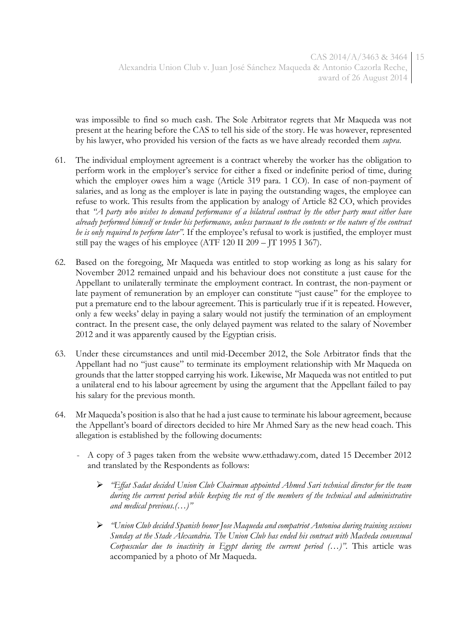was impossible to find so much cash. The Sole Arbitrator regrets that Mr Maqueda was not present at the hearing before the CAS to tell his side of the story. He was however, represented by his lawyer, who provided his version of the facts as we have already recorded them *supra*.

- 61. The individual employment agreement is a contract whereby the worker has the obligation to perform work in the employer's service for either a fixed or indefinite period of time, during which the employer owes him a wage (Article 319 para. 1 CO). In case of non-payment of salaries, and as long as the employer is late in paying the outstanding wages, the employee can refuse to work. This results from the application by analogy of Article 82 CO, which provides that *"A party who wishes to demand performance of a bilateral contract by the other party must either have already performed himself or tender his performance, unless pursuant to the contents or the nature of the contract he is only required to perform later".* If the employee's refusal to work is justified, the employer must still pay the wages of his employee (ATF 120 II 209 – JT 1995 I 367).
- 62. Based on the foregoing, Mr Maqueda was entitled to stop working as long as his salary for November 2012 remained unpaid and his behaviour does not constitute a just cause for the Appellant to unilaterally terminate the employment contract. In contrast, the non-payment or late payment of remuneration by an employer can constitute "just cause" for the employee to put a premature end to the labour agreement. This is particularly true if it is repeated. However, only a few weeks' delay in paying a salary would not justify the termination of an employment contract. In the present case, the only delayed payment was related to the salary of November 2012 and it was apparently caused by the Egyptian crisis.
- 63. Under these circumstances and until mid-December 2012, the Sole Arbitrator finds that the Appellant had no "just cause" to terminate its employment relationship with Mr Maqueda on grounds that the latter stopped carrying his work. Likewise, Mr Maqueda was not entitled to put a unilateral end to his labour agreement by using the argument that the Appellant failed to pay his salary for the previous month.
- 64. Mr Maqueda's position is also that he had a just cause to terminate his labour agreement, because the Appellant's board of directors decided to hire Mr Ahmed Sary as the new head coach. This allegation is established by the following documents:
	- A copy of 3 pages taken from the website www.etthadawy.com, dated 15 December 2012 and translated by the Respondents as follows:
		- *"Effat Sadat decided Union Club Chairman appointed Ahmed Sari technical director for the team during the current period while keeping the rest of the members of the technical and administrative and medical previous.(…)"*
		- *"Union Club decided Spanish honor Jose Maqueda and compatriot Antonioa during training sessions Sunday at the Stade Alexandria. The Union Club has ended his contract with Macheda consensual Corpuscular due to inactivity in Egypt during the current period (…)"*. This article was accompanied by a photo of Mr Maqueda.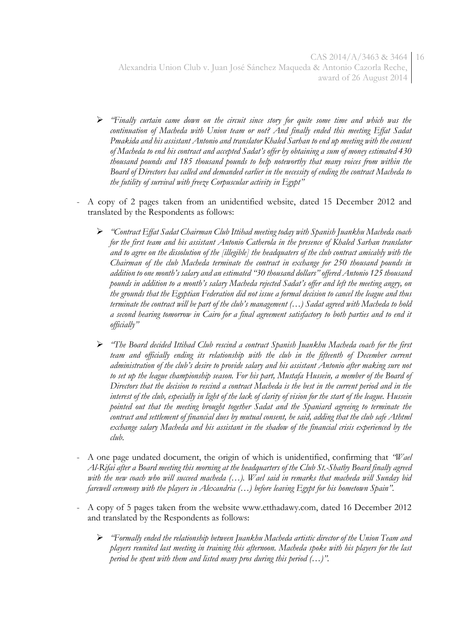CAS 2014/A/3463 & 3464 16 Alexandria Union Club v. Juan José Sánchez Maqueda & Antonio Cazorla Reche, award of 26 August 2014

- *"Finally curtain came down on the circuit since story for quite some time and which was the continuation of Macheda with Union team or not? And finally ended this meeting Effat Sadat Pmakida and his assistant Antonio and translator Khaled Sarhan to end up meeting with the consent of Macheda to end his contract and accepted Sadat's offer by obtaining a sum of money estimated 430 thousand pounds and 185 thousand pounds to help noteworthy that many voices from within the Board of Directors has called and demanded earlier in the necessity of ending the contract Macheda to the futility of survival with freeze Corpuscular activity in Egypt"*
- A copy of 2 pages taken from an unidentified website, dated 15 December 2012 and translated by the Respondents as follows:
	- *"Contract Effat Sadat Chairman Club Ittihad meeting today with Spanish Juankhu Macheda coach for the first team and his assistant Antonio Catherola in the presence of Khaled Sarhan translator and to agree on the dissolution of the [illegible] the headquaters of the club contract amicably with the Chairman of the club Macheda terminate the contract in exchange for 250 thousand pounds in addition to one month's salary and an estimated "30 thousand dollars" offered Antonio 125 thousand pounds in addition to a month's salary Macheda rejected Sadat's offer and left the meeting angry, on the grounds that the Egyptian Federation did not issue a formal decision to cancel the league and thus terminate the contract will be part of the club's management (…) Sadat agreed with Macheda to hold a second hearing tomorrow in Cairo for a final agreement satisfactory to both parties and to end it officially"*
	- *"The Board decided Ittihad Club rescind a contract Spanish Juankhu Macheda coach for the first team and officially ending its relationship with the club in the fifteenth of December current administration of the club's desire to provide salary and his assistant Antonio after making sure not to set up the league championship season. For his part, Mustafa Hussein, a member of the Board of Directors that the decision to rescind a contract Macheda is the best in the current period and in the interest of the club, especially in light of the lack of clarity of vision for the start of the league. Hussein pointed out that the meeting brought together Sadat and the Spaniard agreeing to terminate the contract and settlement of financial dues by mutual consent, he said, adding that the club safe Athtml exchange salary Macheda and his assistant in the shadow of the financial crisis experienced by the club.*
- A one page undated document, the origin of which is unidentified, confirming that *"Wael Al-Rifai after a Board meeting this morning at the headquarters of the Club St.-Shatby Board finally agreed with the new coach who will succeed macheda (…). Wael said in remarks that macheda will Sunday bid farewell ceremony with the players in Alexandria (…) before leaving Egypt for his hometown Spain".*
- A copy of 5 pages taken from the website www.etthadawy.com, dated 16 December 2012 and translated by the Respondents as follows:
	- *"Formally ended the relationship between Juankhu Macheda artistic director of the Union Team and players reunited last meeting in training this afternoon. Macheda spoke with his players for the last period he spent with them and listed many pros during this period (…)".*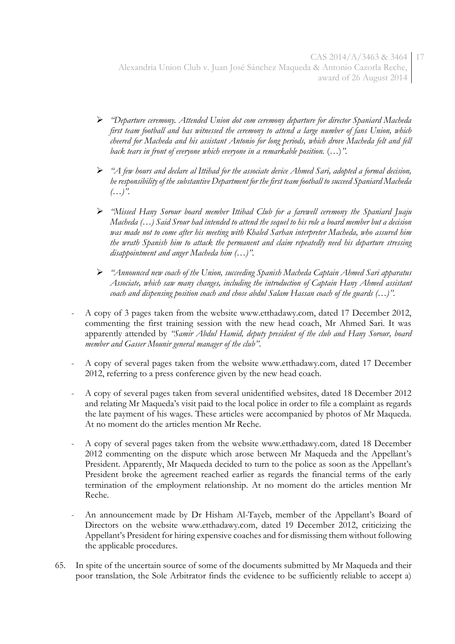- *"Departure ceremony. Attended Union dot com ceremony departure for director Spaniard Macheda first team football and has witnessed the ceremony to attend a large number of fans Union, which cheered for Macheda and his assistant Antonio for long periods, which drove Macheda felt and fell back tears in front of everyone which everyone in a remarkable position.* (…)*".*
- *"A few hours and declare al Ittihad for the associate device Ahmed Sari, adopted a formal decision, he responsibility of the substantive Department for the first team football to succeed Spaniard Macheda (…)".*
- *"Missed Hany Sorour board member Ittihad Club for a farewell ceremony the Spaniard Juaju Macheda (…) Said Srour had intended to attend the sequel to his role a board member but a decision was made not to come after his meeting with Khaled Sarhan interpreter Macheda, who assured him the wrath Spanish him to attack the permanent and claim repeatedly need his departure stressing disappointment and anger Macheda him (…)".*
- *"Announced new coach of the Union, succeeding Spanish Macheda Captain Ahmed Sari apparatus Associate, which saw many changes, including the introduction of Captain Hany Ahmed assistant coach and dispensing position coach and chose abdul Salam Hassan coach of the guards (…)".*
- A copy of 3 pages taken from the website www.etthadawy.com, dated 17 December 2012, commenting the first training session with the new head coach, Mr Ahmed Sari. It was apparently attended by *"Samir Abdul Hamid, deputy president of the club and Hany Sorour, board member and Gasser Mounir general manager of the club"*.
- A copy of several pages taken from the website www.etthadawy.com, dated 17 December 2012, referring to a press conference given by the new head coach.
- A copy of several pages taken from several unidentified websites, dated 18 December 2012 and relating Mr Maqueda's visit paid to the local police in order to file a complaint as regards the late payment of his wages. These articles were accompanied by photos of Mr Maqueda. At no moment do the articles mention Mr Reche.
- A copy of several pages taken from the website www.etthadawy.com, dated 18 December 2012 commenting on the dispute which arose between Mr Maqueda and the Appellant's President. Apparently, Mr Maqueda decided to turn to the police as soon as the Appellant's President broke the agreement reached earlier as regards the financial terms of the early termination of the employment relationship. At no moment do the articles mention Mr Reche.
- An announcement made by Dr Hisham Al-Tayeb, member of the Appellant's Board of Directors on the website www.etthadawy.com, dated 19 December 2012, criticizing the Appellant's President for hiring expensive coaches and for dismissing them without following the applicable procedures.
- 65. In spite of the uncertain source of some of the documents submitted by Mr Maqueda and their poor translation, the Sole Arbitrator finds the evidence to be sufficiently reliable to accept a)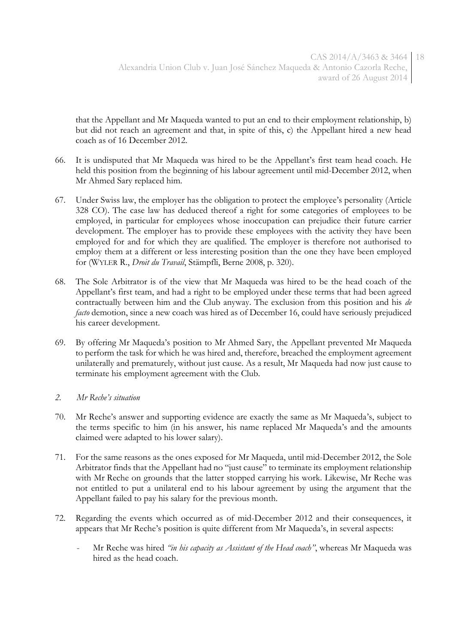that the Appellant and Mr Maqueda wanted to put an end to their employment relationship, b) but did not reach an agreement and that, in spite of this, c) the Appellant hired a new head coach as of 16 December 2012.

- 66. It is undisputed that Mr Maqueda was hired to be the Appellant's first team head coach. He held this position from the beginning of his labour agreement until mid-December 2012, when Mr Ahmed Sary replaced him.
- 67. Under Swiss law, the employer has the obligation to protect the employee's personality (Article 328 CO). The case law has deduced thereof a right for some categories of employees to be employed, in particular for employees whose inoccupation can prejudice their future carrier development. The employer has to provide these employees with the activity they have been employed for and for which they are qualified. The employer is therefore not authorised to employ them at a different or less interesting position than the one they have been employed for (WYLER R., *Droit du Travail*, Stämpfli, Berne 2008, p. 320).
- 68. The Sole Arbitrator is of the view that Mr Maqueda was hired to be the head coach of the Appellant's first team, and had a right to be employed under these terms that had been agreed contractually between him and the Club anyway. The exclusion from this position and his *de facto* demotion, since a new coach was hired as of December 16, could have seriously prejudiced his career development.
- 69. By offering Mr Maqueda's position to Mr Ahmed Sary, the Appellant prevented Mr Maqueda to perform the task for which he was hired and, therefore, breached the employment agreement unilaterally and prematurely, without just cause. As a result, Mr Maqueda had now just cause to terminate his employment agreement with the Club.

#### *2. Mr Reche's situation*

- 70. Mr Reche's answer and supporting evidence are exactly the same as Mr Maqueda's, subject to the terms specific to him (in his answer, his name replaced Mr Maqueda's and the amounts claimed were adapted to his lower salary).
- 71. For the same reasons as the ones exposed for Mr Maqueda, until mid-December 2012, the Sole Arbitrator finds that the Appellant had no "just cause" to terminate its employment relationship with Mr Reche on grounds that the latter stopped carrying his work. Likewise, Mr Reche was not entitled to put a unilateral end to his labour agreement by using the argument that the Appellant failed to pay his salary for the previous month.
- 72. Regarding the events which occurred as of mid-December 2012 and their consequences, it appears that Mr Reche's position is quite different from Mr Maqueda's, in several aspects:
	- Mr Reche was hired *"in his capacity as Assistant of the Head coach"*, whereas Mr Maqueda was hired as the head coach.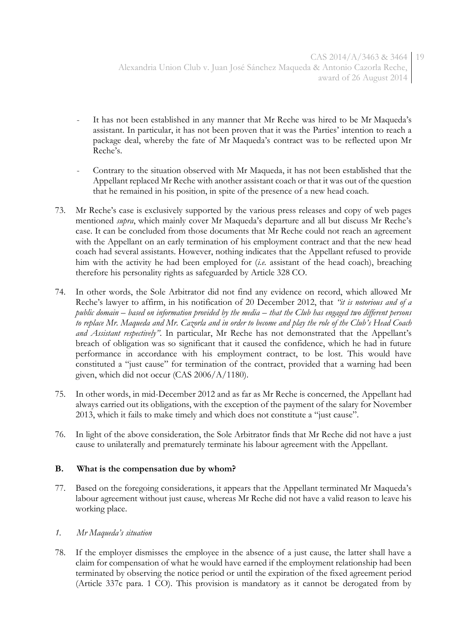- It has not been established in any manner that Mr Reche was hired to be Mr Maqueda's assistant. In particular, it has not been proven that it was the Parties' intention to reach a package deal, whereby the fate of Mr Maqueda's contract was to be reflected upon Mr Reche's.
- Contrary to the situation observed with Mr Maqueda, it has not been established that the Appellant replaced Mr Reche with another assistant coach or that it was out of the question that he remained in his position, in spite of the presence of a new head coach.
- 73. Mr Reche's case is exclusively supported by the various press releases and copy of web pages mentioned *supra*, which mainly cover Mr Maqueda's departure and all but discuss Mr Reche's case. It can be concluded from those documents that Mr Reche could not reach an agreement with the Appellant on an early termination of his employment contract and that the new head coach had several assistants. However, nothing indicates that the Appellant refused to provide him with the activity he had been employed for (*i.e.* assistant of the head coach), breaching therefore his personality rights as safeguarded by Article 328 CO.
- 74. In other words, the Sole Arbitrator did not find any evidence on record, which allowed Mr Reche's lawyer to affirm, in his notification of 20 December 2012, that *"it is notorious and of a public domain – based on information provided by the media – that the Club has engaged two different persons to replace Mr. Maqueda and Mr. Cazorla and in order to become and play the role of the Club's Head Coach and Assistant respectively"*. In particular, Mr Reche has not demonstrated that the Appellant's breach of obligation was so significant that it caused the confidence, which he had in future performance in accordance with his employment contract, to be lost. This would have constituted a "just cause" for termination of the contract, provided that a warning had been given, which did not occur (CAS 2006/A/1180).
- 75. In other words, in mid-December 2012 and as far as Mr Reche is concerned, the Appellant had always carried out its obligations, with the exception of the payment of the salary for November 2013, which it fails to make timely and which does not constitute a "just cause".
- 76. In light of the above consideration, the Sole Arbitrator finds that Mr Reche did not have a just cause to unilaterally and prematurely terminate his labour agreement with the Appellant.

## **B. What is the compensation due by whom?**

77. Based on the foregoing considerations, it appears that the Appellant terminated Mr Maqueda's labour agreement without just cause, whereas Mr Reche did not have a valid reason to leave his working place.

## *1. Mr Maqueda's situation*

78. If the employer dismisses the employee in the absence of a just cause, the latter shall have a claim for compensation of what he would have earned if the employment relationship had been terminated by observing the notice period or until the expiration of the fixed agreement period (Article 337c para. 1 CO). This provision is mandatory as it cannot be derogated from by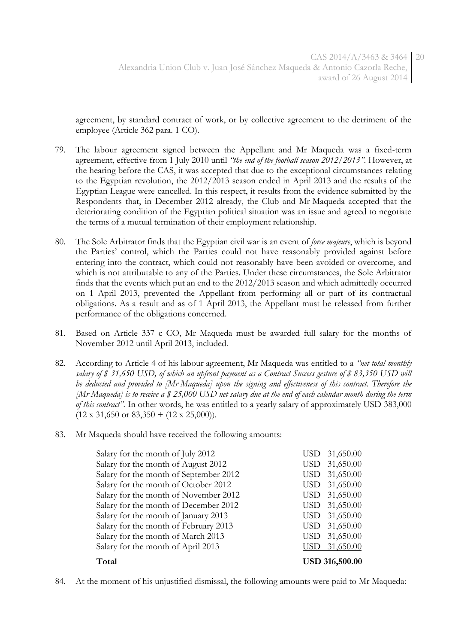agreement, by standard contract of work, or by collective agreement to the detriment of the employee (Article 362 para. 1 CO).

- 79. The labour agreement signed between the Appellant and Mr Maqueda was a fixed-term agreement, effective from 1 July 2010 until *"the end of the football season 2012/2013"*. However, at the hearing before the CAS, it was accepted that due to the exceptional circumstances relating to the Egyptian revolution, the 2012/2013 season ended in April 2013 and the results of the Egyptian League were cancelled. In this respect, it results from the evidence submitted by the Respondents that, in December 2012 already, the Club and Mr Maqueda accepted that the deteriorating condition of the Egyptian political situation was an issue and agreed to negotiate the terms of a mutual termination of their employment relationship.
- 80. The Sole Arbitrator finds that the Egyptian civil war is an event of *force majeure*, which is beyond the Parties' control, which the Parties could not have reasonably provided against before entering into the contract, which could not reasonably have been avoided or overcome, and which is not attributable to any of the Parties. Under these circumstances, the Sole Arbitrator finds that the events which put an end to the 2012/2013 season and which admittedly occurred on 1 April 2013, prevented the Appellant from performing all or part of its contractual obligations. As a result and as of 1 April 2013, the Appellant must be released from further performance of the obligations concerned.
- 81. Based on Article 337 c CO, Mr Maqueda must be awarded full salary for the months of November 2012 until April 2013, included.
- 82. According to Article 4 of his labour agreement, Mr Maqueda was entitled to a *"net total monthly salary of \$ 31,650 USD, of which an upfront payment as a Contract Success gesture of \$ 83,350 USD will be deducted and provided to [Mr Maqueda] upon the signing and effectiveness of this contract. Therefore the [Mr Maqueda] is to receive a \$ 25,000 USD net salary due at the end of each calendar month during the term of this contract".* In other words, he was entitled to a yearly salary of approximately USD 383,000  $(12 \times 31,650 \text{ or } 83,350 + (12 \times 25,000)).$
- 83. Mr Maqueda should have received the following amounts:

| Salary for the month of July 2012      | USD        | 31,650.00             |
|----------------------------------------|------------|-----------------------|
| Salary for the month of August 2012    | <b>USD</b> | 31,650.00             |
| Salary for the month of September 2012 | <b>USD</b> | 31,650.00             |
| Salary for the month of October 2012   | <b>USD</b> | 31,650.00             |
| Salary for the month of November 2012  | <b>USD</b> | 31,650.00             |
| Salary for the month of December 2012  | <b>USD</b> | 31,650.00             |
| Salary for the month of January 2013   | <b>USD</b> | 31,650.00             |
| Salary for the month of February 2013  | <b>USD</b> | 31,650.00             |
| Salary for the month of March 2013     | USD        | 31,650.00             |
| Salary for the month of April 2013     | USD.       | 31,650.00             |
| Total                                  |            | <b>USD 316,500.00</b> |

84. At the moment of his unjustified dismissal, the following amounts were paid to Mr Maqueda: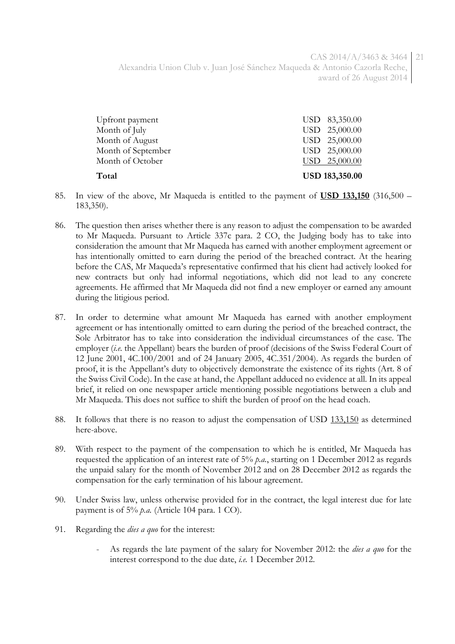CAS 2014/A/3463 & 3464 21 Alexandria Union Club v. Juan José Sánchez Maqueda & Antonio Cazorla Reche, award of 26 August 2014

| Total              | <b>USD 183,350.00</b> |
|--------------------|-----------------------|
| Month of October   | USD 25,000.00         |
| Month of September | USD 25,000.00         |
| Month of August    | USD 25,000.00         |
| Month of July      | USD 25,000.00         |
| Upfront payment    | USD 83,350.00         |

- 85. In view of the above, Mr Maqueda is entitled to the payment of **USD 133,150** (316,500 183,350).
- 86. The question then arises whether there is any reason to adjust the compensation to be awarded to Mr Maqueda. Pursuant to Article 337c para. 2 CO, the Judging body has to take into consideration the amount that Mr Maqueda has earned with another employment agreement or has intentionally omitted to earn during the period of the breached contract. At the hearing before the CAS, Mr Maqueda's representative confirmed that his client had actively looked for new contracts but only had informal negotiations, which did not lead to any concrete agreements. He affirmed that Mr Maqueda did not find a new employer or earned any amount during the litigious period.
- 87. In order to determine what amount Mr Maqueda has earned with another employment agreement or has intentionally omitted to earn during the period of the breached contract, the Sole Arbitrator has to take into consideration the individual circumstances of the case. The employer (*i.e.* the Appellant) bears the burden of proof (decisions of the Swiss Federal Court of 12 June 2001, 4C.100/2001 and of 24 January 2005, 4C.351/2004). As regards the burden of proof, it is the Appellant's duty to objectively demonstrate the existence of its rights (Art. 8 of the Swiss Civil Code). In the case at hand, the Appellant adduced no evidence at all. In its appeal brief, it relied on one newspaper article mentioning possible negotiations between a club and Mr Maqueda. This does not suffice to shift the burden of proof on the head coach.
- 88. It follows that there is no reason to adjust the compensation of USD 133,150 as determined here-above.
- 89. With respect to the payment of the compensation to which he is entitled, Mr Maqueda has requested the application of an interest rate of 5% *p.a.*, starting on 1 December 2012 as regards the unpaid salary for the month of November 2012 and on 28 December 2012 as regards the compensation for the early termination of his labour agreement.
- 90. Under Swiss law, unless otherwise provided for in the contract, the legal interest due for late payment is of 5% *p.a.* (Article 104 para. 1 CO).
- 91. Regarding the *dies a quo* for the interest:
	- As regards the late payment of the salary for November 2012: the *dies a quo* for the interest correspond to the due date, *i.e.* 1 December 2012.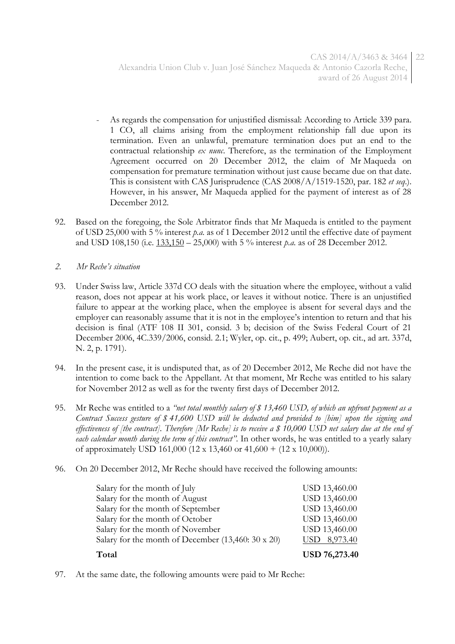- As regards the compensation for unjustified dismissal: According to Article 339 para. 1 CO, all claims arising from the employment relationship fall due upon its termination. Even an unlawful, premature termination does put an end to the contractual relationship *ex nunc*. Therefore, as the termination of the Employment Agreement occurred on 20 December 2012, the claim of Mr Maqueda on compensation for premature termination without just cause became due on that date. This is consistent with CAS Jurisprudence (CAS 2008/A/1519-1520, par. 182 *et seq*.). However, in his answer, Mr Maqueda applied for the payment of interest as of 28 December 2012.
- 92. Based on the foregoing, the Sole Arbitrator finds that Mr Maqueda is entitled to the payment of USD 25,000 with 5 % interest *p.a.* as of 1 December 2012 until the effective date of payment and USD 108,150 (i.e. 133,150 – 25,000) with 5 % interest *p.a.* as of 28 December 2012.
- *2. Mr Reche's situation*
- 93. Under Swiss law, Article 337d CO deals with the situation where the employee, without a valid reason, does not appear at his work place, or leaves it without notice. There is an unjustified failure to appear at the working place, when the employee is absent for several days and the employer can reasonably assume that it is not in the employee's intention to return and that his decision is final (ATF 108 II 301, consid. 3 b; decision of the Swiss Federal Court of 21 December 2006, 4C.339/2006, consid. 2.1; Wyler, op. cit., p. 499; Aubert, op. cit., ad art. 337d, N. 2, p. 1791).
- 94. In the present case, it is undisputed that, as of 20 December 2012, Me Reche did not have the intention to come back to the Appellant. At that moment, Mr Reche was entitled to his salary for November 2012 as well as for the twenty first days of December 2012.
- 95. Mr Reche was entitled to a *"net total monthly salary of \$ 13,460 USD, of which an upfront payment as a Contract Success gesture of \$ 41,600 USD will be deducted and provided to [him] upon the signing and effectiveness of [the contract]. Therefore [Mr Reche] is to receive a \$ 10,000 USD net salary due at the end of each calendar month during the term of this contract".* In other words, he was entitled to a yearly salary of approximately USD 161,000 (12 x 13,460 or 41,600 + (12 x 10,000)).
- 96. On 20 December 2012, Mr Reche should have received the following amounts:

| Total                                                    | <b>USD 76,273.40</b> |
|----------------------------------------------------------|----------------------|
| Salary for the month of December $(13,460:30 \times 20)$ | USD 8,973.40         |
| Salary for the month of November                         | USD 13,460.00        |
| Salary for the month of October                          | USD 13,460.00        |
| Salary for the month of September                        | USD 13,460.00        |
| Salary for the month of August                           | USD 13,460.00        |
| Salary for the month of July                             | USD 13,460.00        |
|                                                          |                      |

97. At the same date, the following amounts were paid to Mr Reche: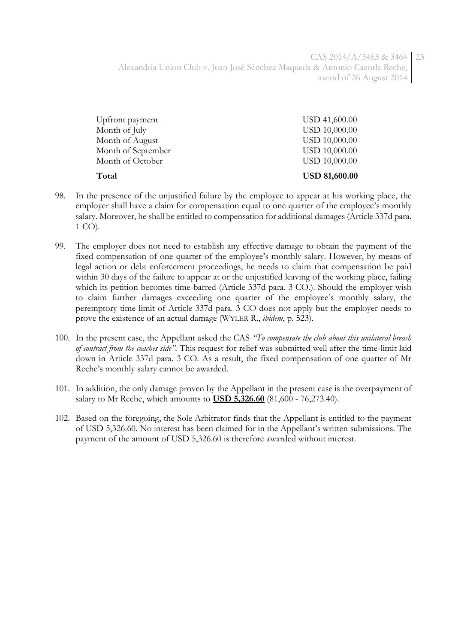CAS 2014/A/3463 & 3464 23 Alexandria Union Club v. Juan José Sánchez Maqueda & Antonio Cazorla Reche, award of 26 August 2014

| Total              | <b>USD 81,600.00</b> |
|--------------------|----------------------|
| Month of October   | <b>USD 10,000.00</b> |
| Month of September | <b>USD 10,000.00</b> |
| Month of August    | <b>USD 10,000.00</b> |
| Month of July      | <b>USD 10,000.00</b> |
| Upfront payment    | USD 41,600.00        |
|                    |                      |

- 98. In the presence of the unjustified failure by the employee to appear at his working place, the employer shall have a claim for compensation equal to one quarter of the employee's monthly salary. Moreover, he shall be entitled to compensation for additional damages (Article 337d para. 1 CO).
- 99. The employer does not need to establish any effective damage to obtain the payment of the fixed compensation of one quarter of the employee's monthly salary. However, by means of legal action or debt enforcement proceedings, he needs to claim that compensation be paid within 30 days of the failure to appear at or the unjustified leaving of the working place, failing which its petition becomes time-barred (Article 337d para. 3 CO.). Should the employer wish to claim further damages exceeding one quarter of the employee's monthly salary, the peremptory time limit of Article 337d para. 3 CO does not apply but the employer needs to prove the existence of an actual damage (WYLER R., *ibidem*, p. 523).
- 100. In the present case, the Appellant asked the CAS *"To compensate the club about this unilateral breach of contract from the coaches side"*. This request for relief was submitted well after the time-limit laid down in Article 337d para. 3 CO. As a result, the fixed compensation of one quarter of Mr Reche's monthly salary cannot be awarded.
- 101. In addition, the only damage proven by the Appellant in the present case is the overpayment of salary to Mr Reche, which amounts to **USD 5,326.60** (81,600 - 76,273.40).
- 102. Based on the foregoing, the Sole Arbitrator finds that the Appellant is entitled to the payment of USD 5,326.60. No interest has been claimed for in the Appellant's written submissions. The payment of the amount of USD 5,326.60 is therefore awarded without interest.